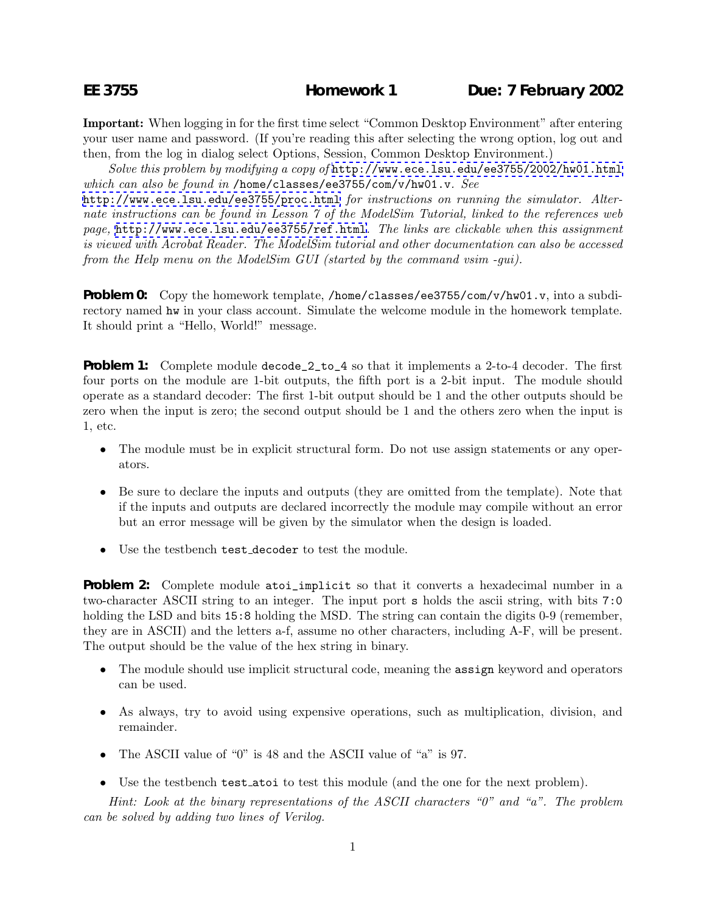**Important:** When logging in for the first time select "Common Desktop Environment" after entering your user name and password. (If you're reading this after selecting the wrong option, log out and then, from the log in dialog select Options, Session, Common Desktop Environment.)

*Solve this problem by modifying a copy of* <http://www.ece.lsu.edu/ee3755/2002/hw01.html> *which can also be found in* /home/classes/ee3755/com/v/hw01.v*. See*

<http://www.ece.lsu.edu/ee3755/proc.html> *for instructions on running the simulator. Alternate instructions can be found in Lesson 7 of the ModelSim Tutorial, linked to the references web page,* <http://www.ece.lsu.edu/ee3755/ref.html>*. The links are clickable when this assignment is viewed with Acrobat Reader. The ModelSim tutorial and other documentation can also be accessed from the Help menu on the ModelSim GUI (started by the command vsim -gui).*

**Problem 0:** Copy the homework template, /home/classes/ee3755/com/v/hw01.v, into a subdirectory named hw in your class account. Simulate the welcome module in the homework template. It should print a "Hello, World!" message.

**Problem 1:** Complete module decode<sub>-2</sub>-to-4 so that it implements a 2-to-4 decoder. The first four ports on the module are 1-bit outputs, the fifth port is a 2-bit input. The module should operate as a standard decoder: The first 1-bit output should be 1 and the other outputs should be zero when the input is zero; the second output should be 1 and the others zero when the input is 1, etc.

- The module must be in explicit structural form. Do not use assign statements or any operators.
- Be sure to declare the inputs and outputs (they are omitted from the template). Note that if the inputs and outputs are declared incorrectly the module may compile without an error but an error message will be given by the simulator when the design is loaded.
- Use the testbench test decoder to test the module.

**Problem 2:** Complete module atoi\_implicit so that it converts a hexadecimal number in a two-character ASCII string to an integer. The input port s holds the ascii string, with bits 7:0 holding the LSD and bits 15:8 holding the MSD. The string can contain the digits 0-9 (remember, they are in ASCII) and the letters a-f, assume no other characters, including A-F, will be present. The output should be the value of the hex string in binary.

- The module should use implicit structural code, meaning the **assign** keyword and operators can be used.
- As always, try to avoid using expensive operations, such as multiplication, division, and remainder.
- The ASCII value of "0" is 48 and the ASCII value of "a" is 97.
- Use the testbench **test** atoi to test this module (and the one for the next problem).

*Hint: Look at the binary representations of the ASCII characters "0" and "a". The problem can be solved by adding two lines of Verilog.*